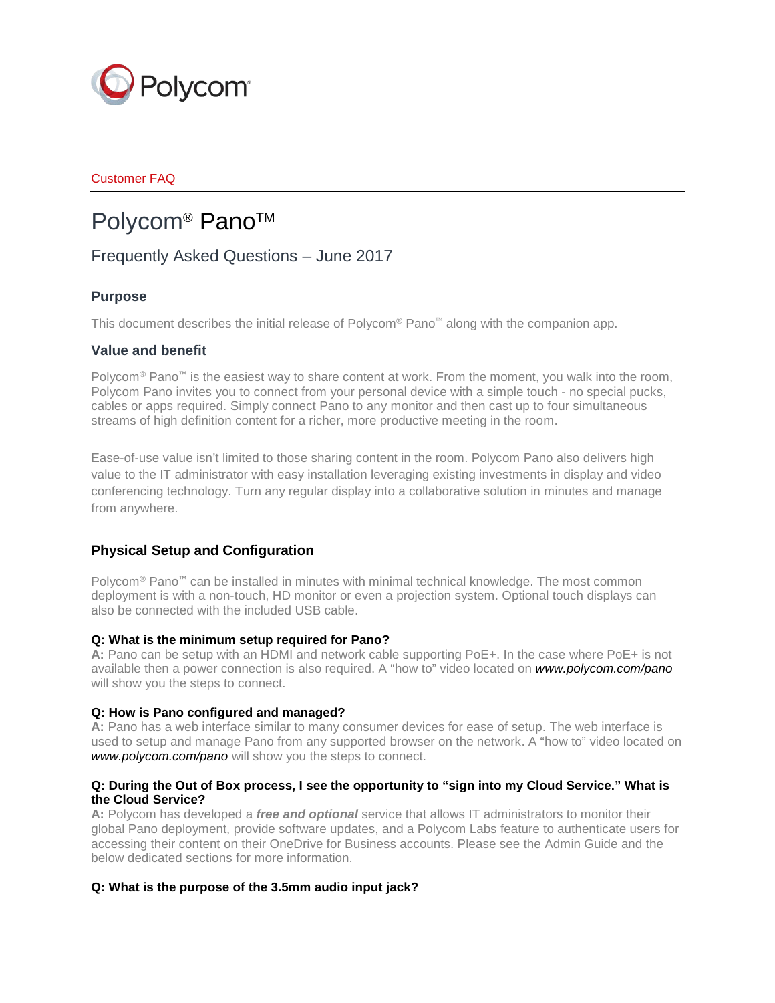

# Customer FAQ

# Polycom<sup>®</sup> Pano<sup>™</sup>

# Frequently Asked Questions – June 2017

# **Purpose**

This document describes the initial release of Polycom® Pano<sup> $<sup>m</sup>$ </sup> along with the companion app.</sup>

# **Value and benefit**

Polycom<sup>®</sup> Pano<sup>™</sup> is the easiest way to share content at work. From the moment, you walk into the room, Polycom Pano invites you to connect from your personal device with a simple touch - no special pucks, cables or apps required. Simply connect Pano to any monitor and then cast up to four simultaneous streams of high definition content for a richer, more productive meeting in the room.

Ease-of-use value isn't limited to those sharing content in the room. Polycom Pano also delivers high value to the IT administrator with easy installation leveraging existing investments in display and video conferencing technology. Turn any regular display into a collaborative solution in minutes and manage from anywhere.

# **Physical Setup and Configuration**

Polycom<sup>®</sup> Pano<sup>™</sup> can be installed in minutes with minimal technical knowledge. The most common deployment is with a non-touch, HD monitor or even a projection system. Optional touch displays can also be connected with the included USB cable.

# **Q: What is the minimum setup required for Pano?**

**A:** Pano can be setup with an HDMI and network cable supporting PoE+. In the case where PoE+ is not available then a power connection is also required. A "how to" video located on *[www.polycom.com/pano](http://www.polycom.com/pano)* will show you the steps to connect.

# **Q: How is Pano configured and managed?**

**A:** Pano has a web interface similar to many consumer devices for ease of setup. The web interface is used to setup and manage Pano from any supported browser on the network. A "how to" video located on *[www.polycom.com/pano](http://www.polycom.com/pano)* will show you the steps to connect.

# **Q: During the Out of Box process, I see the opportunity to "sign into my Cloud Service." What is the Cloud Service?**

**A:** Polycom has developed a *free and optional* service that allows IT administrators to monitor their global Pano deployment, provide software updates, and a Polycom Labs feature to authenticate users for accessing their content on their OneDrive for Business accounts. Please see the Admin Guide and the below dedicated sections for more information.

# **Q: What is the purpose of the 3.5mm audio input jack?**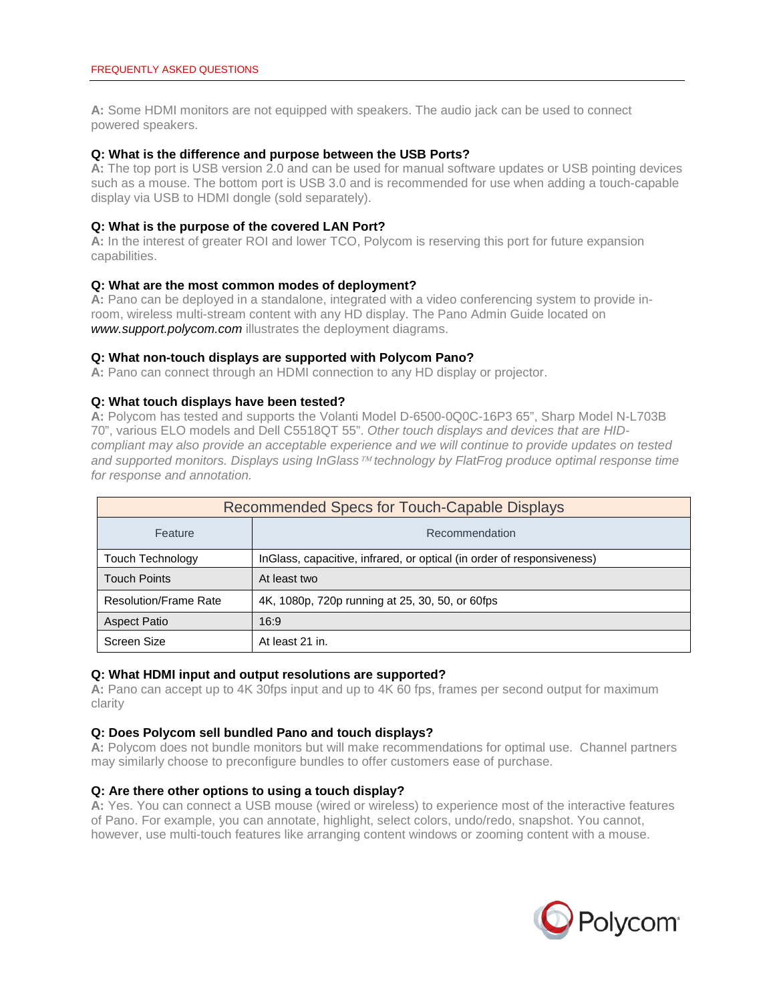**A:** Some HDMI monitors are not equipped with speakers. The audio jack can be used to connect powered speakers.

### **Q: What is the difference and purpose between the USB Ports?**

**A:** The top port is USB version 2.0 and can be used for manual software updates or USB pointing devices such as a mouse. The bottom port is USB 3.0 and is recommended for use when adding a touch-capable display via USB to HDMI dongle (sold separately).

#### **Q: What is the purpose of the covered LAN Port?**

**A:** In the interest of greater ROI and lower TCO, Polycom is reserving this port for future expansion capabilities.

#### **Q: What are the most common modes of deployment?**

**A:** Pano can be deployed in a standalone, integrated with a video conferencing system to provide inroom, wireless multi-stream content with any HD display. The Pano Admin Guide located on *[www.support.polycom.com](http://www.support.polycom.com/)* illustrates the deployment diagrams.

# **Q: What non-touch displays are supported with Polycom Pano?**

**A:** Pano can connect through an HDMI connection to any HD display or projector.

#### **Q: What touch displays have been tested?**

**A:** Polycom has tested and supports the Volanti Model D-6500-0Q0C-16P3 65", Sharp Model N-L703B 70", various ELO models and Dell C5518QT 55". *Other touch displays and devices that are HIDcompliant may also provide an acceptable experience and we will continue to provide updates on tested*  and supported monitors. Displays using InGlass<sup>TM</sup> technology by FlatFrog produce optimal response time *for response and annotation.* 

| Recommended Specs for Touch-Capable Displays |                                                                        |  |  |
|----------------------------------------------|------------------------------------------------------------------------|--|--|
| Feature                                      | Recommendation                                                         |  |  |
| Touch Technology                             | InGlass, capacitive, infrared, or optical (in order of responsiveness) |  |  |
| <b>Touch Points</b>                          | At least two                                                           |  |  |
| <b>Resolution/Frame Rate</b>                 | 4K, 1080p, 720p running at 25, 30, 50, or 60fps                        |  |  |
| <b>Aspect Patio</b>                          | 16:9                                                                   |  |  |
| Screen Size                                  | At least 21 in.                                                        |  |  |

#### **Q: What HDMI input and output resolutions are supported?**

**A:** Pano can accept up to 4K 30fps input and up to 4K 60 fps, frames per second output for maximum clarity

#### **Q: Does Polycom sell bundled Pano and touch displays?**

**A:** Polycom does not bundle monitors but will make recommendations for optimal use. Channel partners may similarly choose to preconfigure bundles to offer customers ease of purchase.

#### **Q: Are there other options to using a touch display?**

**A:** Yes. You can connect a USB mouse (wired or wireless) to experience most of the interactive features of Pano. For example, you can annotate, highlight, select colors, undo/redo, snapshot. You cannot, however, use multi-touch features like arranging content windows or zooming content with a mouse.

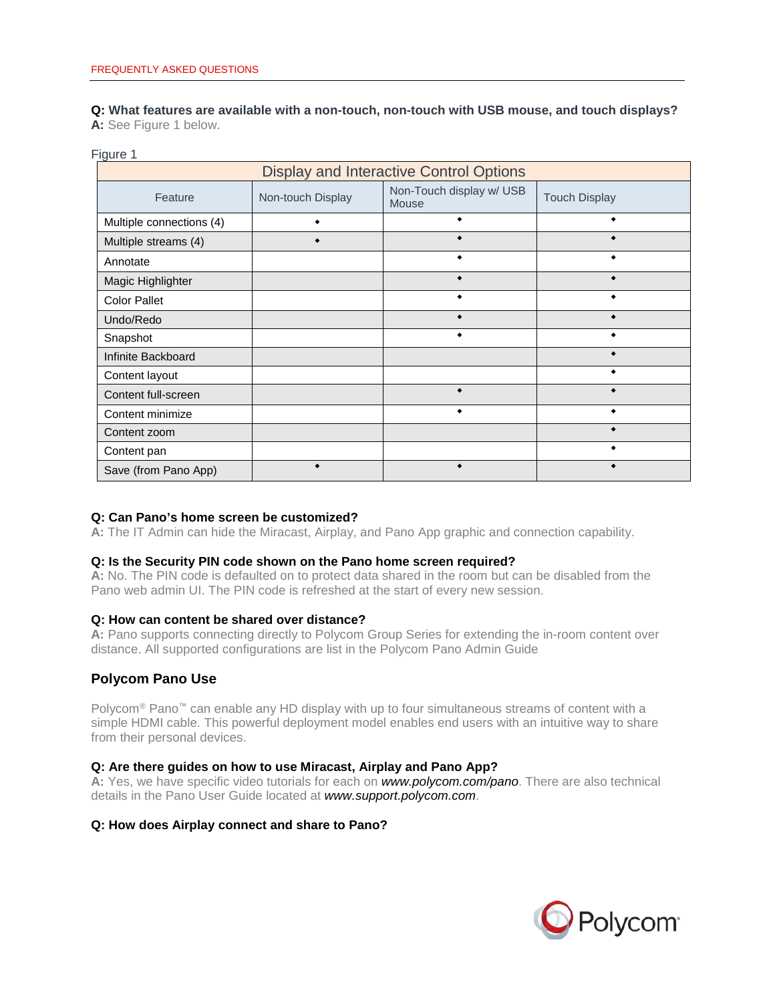**Q: What features are available with a non-touch, non-touch with USB mouse, and touch displays? A:** See Figure 1 below.

#### Figure 1

| <b>Display and Interactive Control Options</b> |                   |                                   |                      |  |
|------------------------------------------------|-------------------|-----------------------------------|----------------------|--|
| Feature                                        | Non-touch Display | Non-Touch display w/ USB<br>Mouse | <b>Touch Display</b> |  |
| Multiple connections (4)                       |                   |                                   |                      |  |
| Multiple streams (4)                           |                   |                                   |                      |  |
| Annotate                                       |                   |                                   |                      |  |
| Magic Highlighter                              |                   |                                   |                      |  |
| <b>Color Pallet</b>                            |                   |                                   |                      |  |
| Undo/Redo                                      |                   |                                   |                      |  |
| Snapshot                                       |                   |                                   |                      |  |
| Infinite Backboard                             |                   |                                   |                      |  |
| Content layout                                 |                   |                                   |                      |  |
| Content full-screen                            |                   |                                   |                      |  |
| Content minimize                               |                   |                                   |                      |  |
| Content zoom                                   |                   |                                   |                      |  |
| Content pan                                    |                   |                                   |                      |  |
| Save (from Pano App)                           |                   |                                   |                      |  |

# **Q: Can Pano's home screen be customized?**

**A:** The IT Admin can hide the Miracast, Airplay, and Pano App graphic and connection capability.

#### **Q: Is the Security PIN code shown on the Pano home screen required?**

**A:** No. The PIN code is defaulted on to protect data shared in the room but can be disabled from the Pano web admin UI. The PIN code is refreshed at the start of every new session.

#### **Q: How can content be shared over distance?**

**A:** Pano supports connecting directly to Polycom Group Series for extending the in-room content over distance. All supported configurations are list in the Polycom Pano Admin Guide

# **Polycom Pano Use**

Polycom<sup>®</sup> Pano<sup>™</sup> can enable any HD display with up to four simultaneous streams of content with a simple HDMI cable. This powerful deployment model enables end users with an intuitive way to share from their personal devices.

# **Q: Are there guides on how to use Miracast, Airplay and Pano App?**

**A:** Yes, we have specific video tutorials for each on *[www.polycom.com/pano](http://www.polycom.com/pano)*. There are also technical details in the Pano User Guide located at *[www.support.polycom.com](http://www.support.polycom.com/)*.

# **Q: How does Airplay connect and share to Pano?**

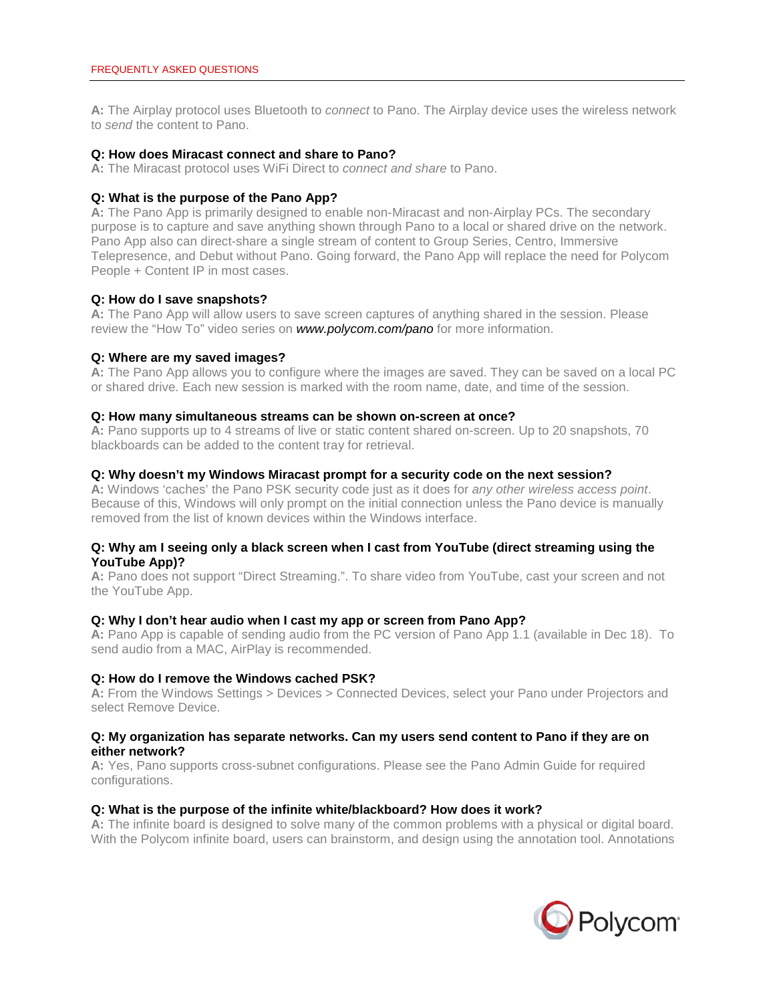**A:** The Airplay protocol uses Bluetooth to *connect* to Pano. The Airplay device uses the wireless network to *send* the content to Pano.

#### **Q: How does Miracast connect and share to Pano?**

**A:** The Miracast protocol uses WiFi Direct to *connect and share* to Pano.

#### **Q: What is the purpose of the Pano App?**

**A:** The Pano App is primarily designed to enable non-Miracast and non-Airplay PCs. The secondary purpose is to capture and save anything shown through Pano to a local or shared drive on the network. Pano App also can direct-share a single stream of content to Group Series, Centro, Immersive Telepresence, and Debut without Pano. Going forward, the Pano App will replace the need for Polycom People + Content IP in most cases.

#### **Q: How do I save snapshots?**

**A:** The Pano App will allow users to save screen captures of anything shared in the session. Please review the "How To" video series on *[www.polycom.com/pano](http://www.polycom.com/pano)* for more information.

#### **Q: Where are my saved images?**

**A:** The Pano App allows you to configure where the images are saved. They can be saved on a local PC or shared drive. Each new session is marked with the room name, date, and time of the session.

#### **Q: How many simultaneous streams can be shown on-screen at once?**

**A:** Pano supports up to 4 streams of live or static content shared on-screen. Up to 20 snapshots, 70 blackboards can be added to the content tray for retrieval.

#### **Q: Why doesn't my Windows Miracast prompt for a security code on the next session?**

**A:** Windows 'caches' the Pano PSK security code just as it does for *any other wireless access point*. Because of this, Windows will only prompt on the initial connection unless the Pano device is manually removed from the list of known devices within the Windows interface.

#### **Q: Why am I seeing only a black screen when I cast from YouTube (direct streaming using the YouTube App)?**

**A:** Pano does not support "Direct Streaming.". To share video from YouTube, cast your screen and not the YouTube App.

#### **Q: Why I don't hear audio when I cast my app or screen from Pano App?**

**A:** Pano App is capable of sending audio from the PC version of Pano App 1.1 (available in Dec 18). To send audio from a MAC, AirPlay is recommended.

#### **Q: How do I remove the Windows cached PSK?**

**A:** From the Windows Settings > Devices > Connected Devices, select your Pano under Projectors and select Remove Device.

#### **Q: My organization has separate networks. Can my users send content to Pano if they are on either network?**

**A:** Yes, Pano supports cross-subnet configurations. Please see the Pano Admin Guide for required configurations.

#### **Q: What is the purpose of the infinite white/blackboard? How does it work?**

**A:** The infinite board is designed to solve many of the common problems with a physical or digital board. With the Polycom infinite board, users can brainstorm, and design using the annotation tool. Annotations

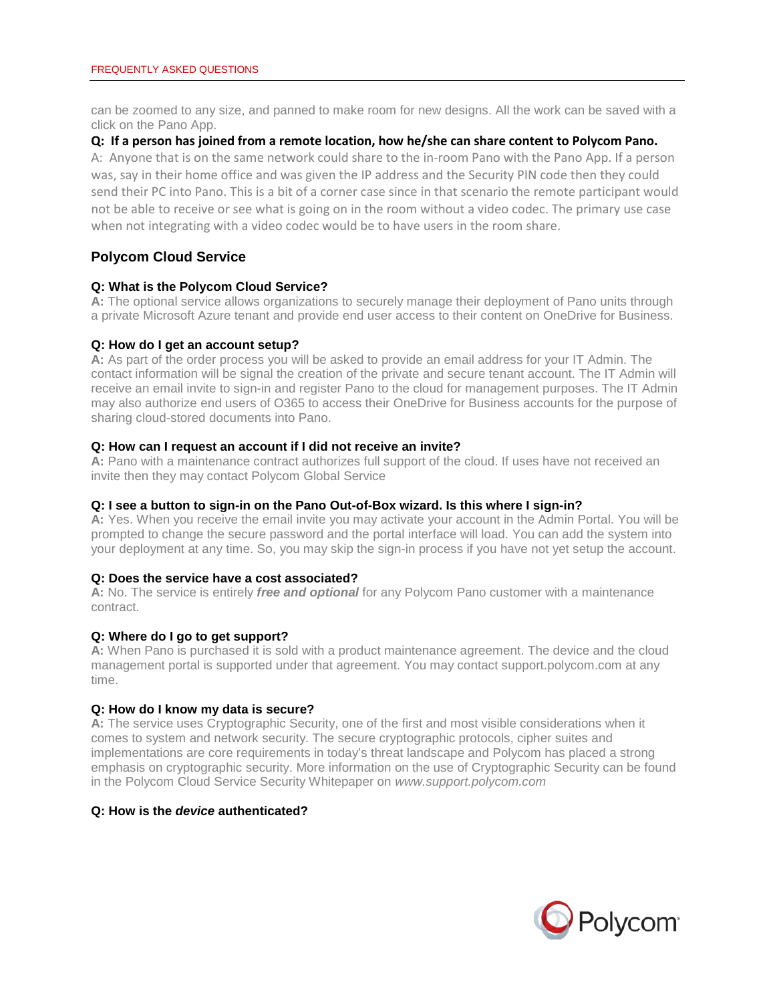can be zoomed to any size, and panned to make room for new designs. All the work can be saved with a click on the Pano App.

# **Q: If a person has joined from a remote location, how he/she can share content to Polycom Pano.**

A: Anyone that is on the same network could share to the in-room Pano with the Pano App. If a person was, say in their home office and was given the IP address and the Security PIN code then they could send their PC into Pano. This is a bit of a corner case since in that scenario the remote participant would not be able to receive or see what is going on in the room without a video codec. The primary use case when not integrating with a video codec would be to have users in the room share.

# **Polycom Cloud Service**

# **Q: What is the Polycom Cloud Service?**

**A:** The optional service allows organizations to securely manage their deployment of Pano units through a private Microsoft Azure tenant and provide end user access to their content on OneDrive for Business.

# **Q: How do I get an account setup?**

**A:** As part of the order process you will be asked to provide an email address for your IT Admin. The contact information will be signal the creation of the private and secure tenant account. The IT Admin will receive an email invite to sign-in and register Pano to the cloud for management purposes. The IT Admin may also authorize end users of O365 to access their OneDrive for Business accounts for the purpose of sharing cloud-stored documents into Pano.

# **Q: How can I request an account if I did not receive an invite?**

**A:** Pano with a maintenance contract authorizes full support of the cloud. If uses have not received an invite then they may contact Polycom Global Service

# **Q: I see a button to sign-in on the Pano Out-of-Box wizard. Is this where I sign-in?**

**A:** Yes. When you receive the email invite you may activate your account in the Admin Portal. You will be prompted to change the secure password and the portal interface will load. You can add the system into your deployment at any time. So, you may skip the sign-in process if you have not yet setup the account.

# **Q: Does the service have a cost associated?**

**A:** No. The service is entirely *free and optional* for any Polycom Pano customer with a maintenance contract.

# **Q: Where do I go to get support?**

**A:** When Pano is purchased it is sold with a product maintenance agreement. The device and the cloud management portal is supported under that agreement. You may contact support.polycom.com at any time.

# **Q: How do I know my data is secure?**

**A:** The service uses Cryptographic Security, one of the first and most visible considerations when it comes to system and network security. The secure cryptographic protocols, cipher suites and implementations are core requirements in today's threat landscape and Polycom has placed a strong emphasis on cryptographic security. More information on the use of Cryptographic Security can be found in the Polycom Cloud Service Security Whitepaper on *[www.support.polycom.com](http://www.support.polycom.com/)*

# **Q: How is the** *device* **authenticated?**